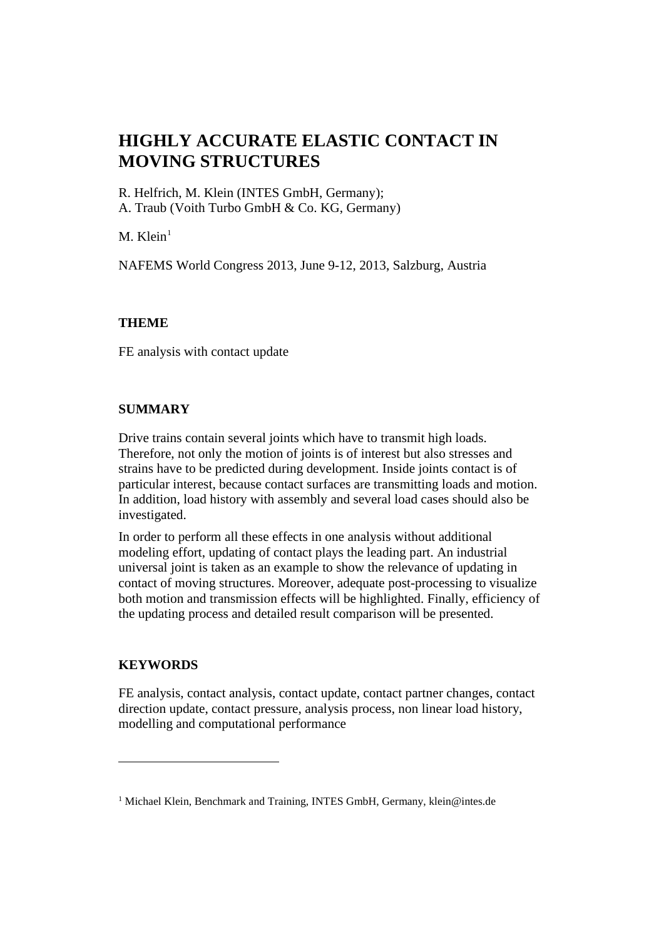R. Helfrich, M. Klein (INTES GmbH, Germany); A. Traub (Voith Turbo GmbH & Co. KG, Germany)

 $M.$  Klein<sup>[1](#page-0-0)</sup>

NAFEMS World Congress 2013, June 9-12, 2013, Salzburg, Austria

## **THEME**

FE analysis with contact update

#### **SUMMARY**

Drive trains contain several joints which have to transmit high loads. Therefore, not only the motion of joints is of interest but also stresses and strains have to be predicted during development. Inside joints contact is of particular interest, because contact surfaces are transmitting loads and motion. In addition, load history with assembly and several load cases should also be investigated.

In order to perform all these effects in one analysis without additional modeling effort, updating of contact plays the leading part. An industrial universal joint is taken as an example to show the relevance of updating in contact of moving structures. Moreover, adequate post-processing to visualize both motion and transmission effects will be highlighted. Finally, efficiency of the updating process and detailed result comparison will be presented.

#### **KEYWORDS**

 $\overline{a}$ 

FE analysis, contact analysis, contact update, contact partner changes, contact direction update, contact pressure, analysis process, non linear load history, modelling and computational performance

<span id="page-0-0"></span><sup>&</sup>lt;sup>1</sup> Michael Klein, Benchmark and Training, INTES GmbH, Germany, klein@intes.de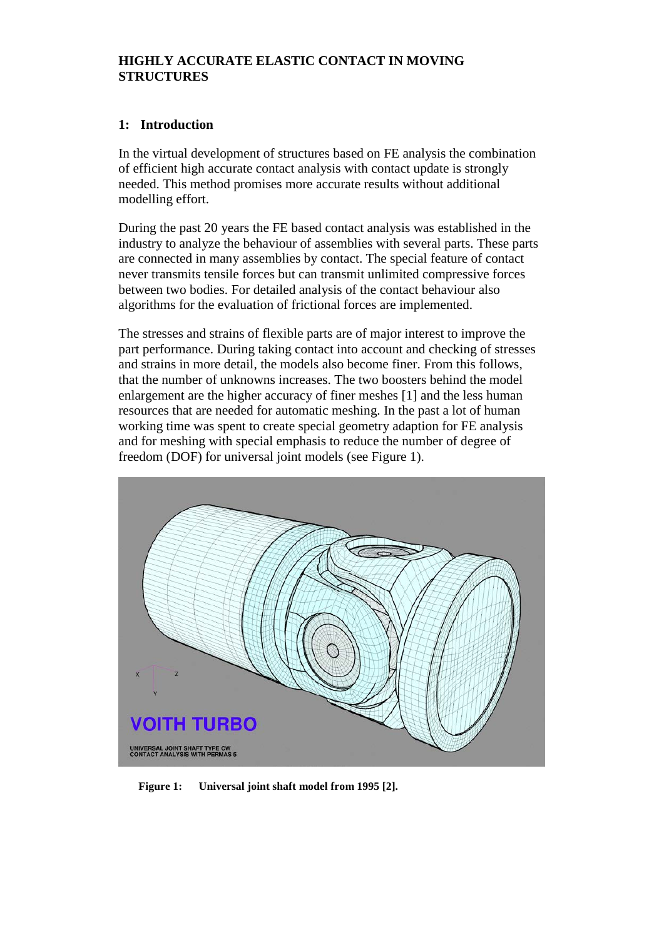## **1: Introduction**

In the virtual development of structures based on FE analysis the combination of efficient high accurate contact analysis with contact update is strongly needed. This method promises more accurate results without additional modelling effort.

During the past 20 years the FE based contact analysis was established in the industry to analyze the behaviour of assemblies with several parts. These parts are connected in many assemblies by contact. The special feature of contact never transmits tensile forces but can transmit unlimited compressive forces between two bodies. For detailed analysis of the contact behaviour also algorithms for the evaluation of frictional forces are implemented.

The stresses and strains of flexible parts are of major interest to improve the part performance. During taking contact into account and checking of stresses and strains in more detail, the models also become finer. From this follows, that the number of unknowns increases. The two boosters behind the model enlargement are the higher accuracy of finer meshes [1] and the less human resources that are needed for automatic meshing. In the past a lot of human working time was spent to create special geometry adaption for FE analysis and for meshing with special emphasis to reduce the number of degree of freedom (DOF) for universal joint models (see Figure 1).



**Figure 1: Universal joint shaft model from 1995 [2].**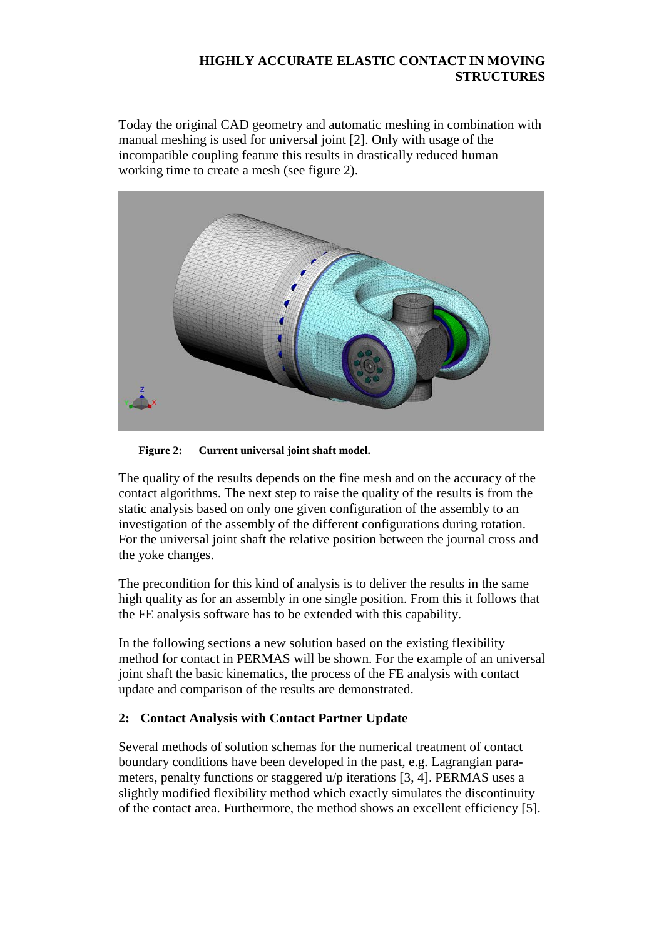Today the original CAD geometry and automatic meshing in combination with manual meshing is used for universal joint [2]. Only with usage of the incompatible coupling feature this results in drastically reduced human working time to create a mesh (see figure 2).



**Figure 2: Current universal joint shaft model.**

The quality of the results depends on the fine mesh and on the accuracy of the contact algorithms. The next step to raise the quality of the results is from the static analysis based on only one given configuration of the assembly to an investigation of the assembly of the different configurations during rotation. For the universal joint shaft the relative position between the journal cross and the yoke changes.

The precondition for this kind of analysis is to deliver the results in the same high quality as for an assembly in one single position. From this it follows that the FE analysis software has to be extended with this capability.

In the following sections a new solution based on the existing flexibility method for contact in PERMAS will be shown. For the example of an universal joint shaft the basic kinematics, the process of the FE analysis with contact update and comparison of the results are demonstrated.

# **2: Contact Analysis with Contact Partner Update**

Several methods of solution schemas for the numerical treatment of contact boundary conditions have been developed in the past, e.g. Lagrangian parameters, penalty functions or staggered u/p iterations [3, 4]. PERMAS uses a slightly modified flexibility method which exactly simulates the discontinuity of the contact area. Furthermore, the method shows an excellent efficiency [5].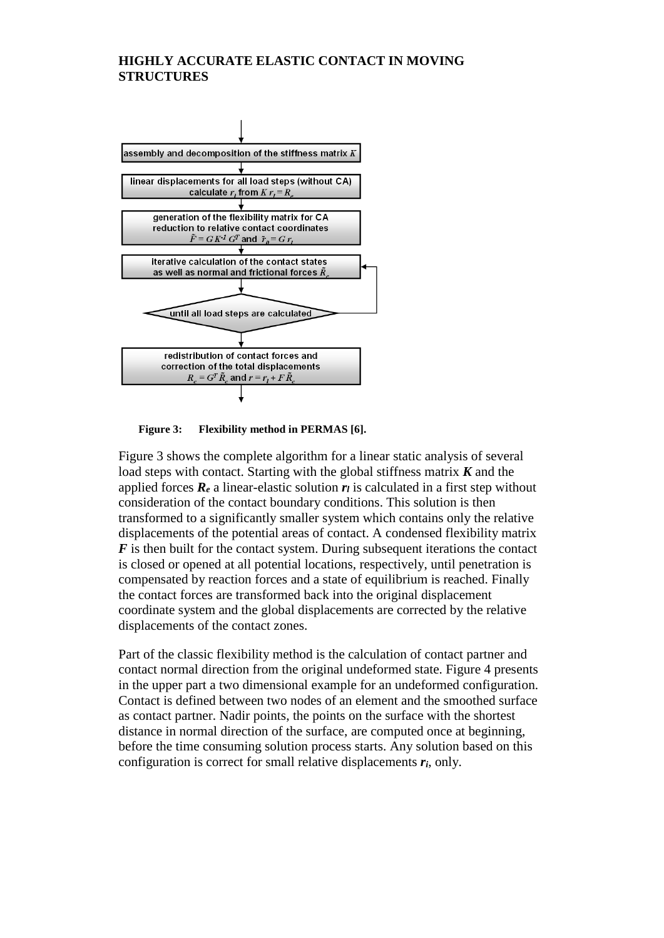

**Figure 3: Flexibility method in PERMAS [6].**

Figure 3 shows the complete algorithm for a linear static analysis of several load steps with contact. Starting with the global stiffness matrix *K* and the applied forces  $\mathbf{R}_e$  a linear-elastic solution  $\mathbf{r}_l$  is calculated in a first step without consideration of the contact boundary conditions. This solution is then transformed to a significantly smaller system which contains only the relative displacements of the potential areas of contact. A condensed flexibility matrix *F* is then built for the contact system. During subsequent iterations the contact is closed or opened at all potential locations, respectively, until penetration is compensated by reaction forces and a state of equilibrium is reached. Finally the contact forces are transformed back into the original displacement coordinate system and the global displacements are corrected by the relative displacements of the contact zones.

Part of the classic flexibility method is the calculation of contact partner and contact normal direction from the original undeformed state. Figure 4 presents in the upper part a two dimensional example for an undeformed configuration. Contact is defined between two nodes of an element and the smoothed surface as contact partner. Nadir points, the points on the surface with the shortest distance in normal direction of the surface, are computed once at beginning, before the time consuming solution process starts. Any solution based on this configuration is correct for small relative displacements *ri*, only.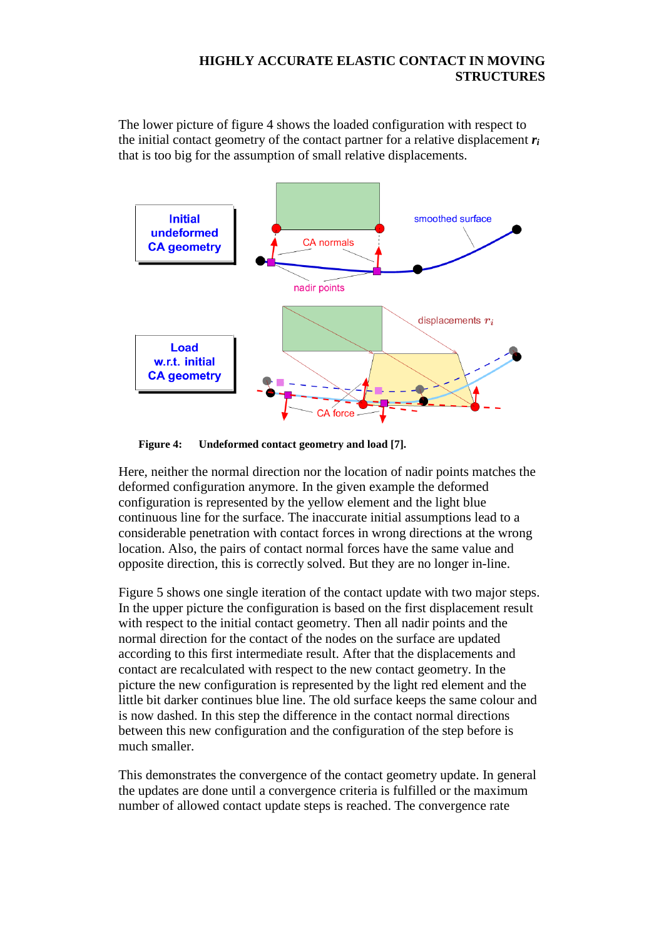The lower picture of figure 4 shows the loaded configuration with respect to the initial contact geometry of the contact partner for a relative displacement *ri* that is too big for the assumption of small relative displacements.



**Figure 4: Undeformed contact geometry and load [7].**

Here, neither the normal direction nor the location of nadir points matches the deformed configuration anymore. In the given example the deformed configuration is represented by the yellow element and the light blue continuous line for the surface. The inaccurate initial assumptions lead to a considerable penetration with contact forces in wrong directions at the wrong location. Also, the pairs of contact normal forces have the same value and opposite direction, this is correctly solved. But they are no longer in-line.

Figure 5 shows one single iteration of the contact update with two major steps. In the upper picture the configuration is based on the first displacement result with respect to the initial contact geometry. Then all nadir points and the normal direction for the contact of the nodes on the surface are updated according to this first intermediate result. After that the displacements and contact are recalculated with respect to the new contact geometry. In the picture the new configuration is represented by the light red element and the little bit darker continues blue line. The old surface keeps the same colour and is now dashed. In this step the difference in the contact normal directions between this new configuration and the configuration of the step before is much smaller.

This demonstrates the convergence of the contact geometry update. In general the updates are done until a convergence criteria is fulfilled or the maximum number of allowed contact update steps is reached. The convergence rate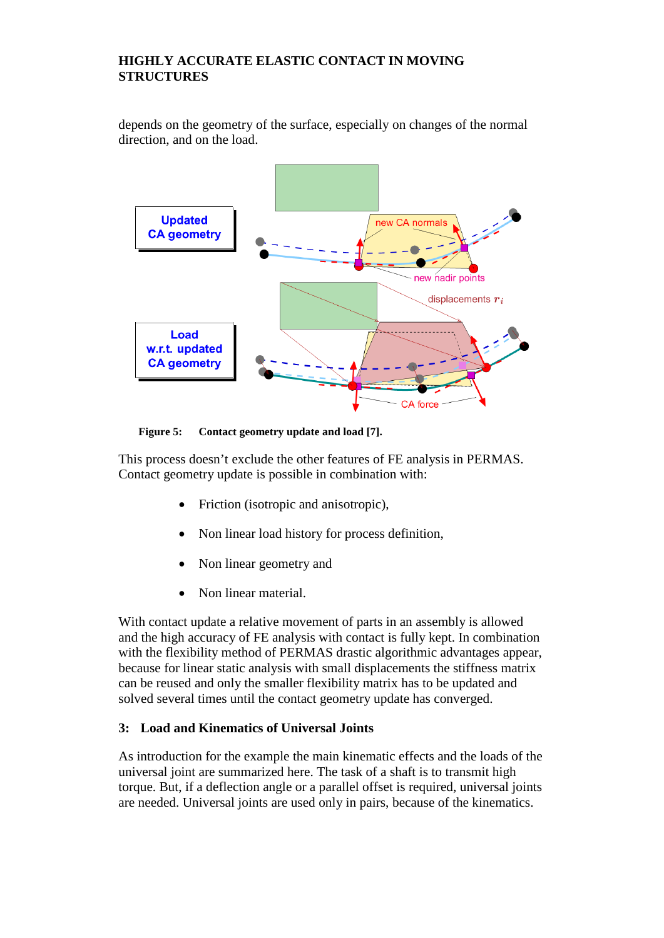depends on the geometry of the surface, especially on changes of the normal direction, and on the load.



**Figure 5: Contact geometry update and load [7].**

This process doesn't exclude the other features of FE analysis in PERMAS. Contact geometry update is possible in combination with:

- Friction (isotropic and anisotropic),
- Non linear load history for process definition,
- Non linear geometry and
- Non linear material.

With contact update a relative movement of parts in an assembly is allowed and the high accuracy of FE analysis with contact is fully kept. In combination with the flexibility method of PERMAS drastic algorithmic advantages appear, because for linear static analysis with small displacements the stiffness matrix can be reused and only the smaller flexibility matrix has to be updated and solved several times until the contact geometry update has converged.

# **3: Load and Kinematics of Universal Joints**

As introduction for the example the main kinematic effects and the loads of the universal joint are summarized here. The task of a shaft is to transmit high torque. But, if a deflection angle or a parallel offset is required, universal joints are needed. Universal joints are used only in pairs, because of the kinematics.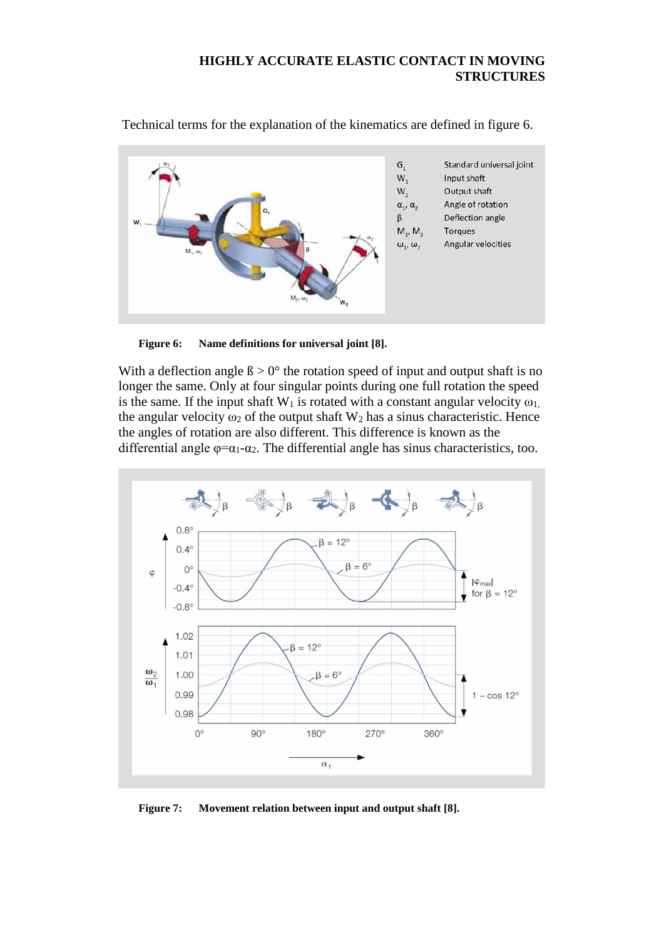

Technical terms for the explanation of the kinematics are defined in figure 6.

**Figure 6: Name definitions for universal joint [8].**

With a deflection angle  $\beta > 0^\circ$  the rotation speed of input and output shaft is no longer the same. Only at four singular points during one full rotation the speed is the same. If the input shaft  $W_1$  is rotated with a constant angular velocity  $\omega_1$ , the angular velocity  $\omega_2$  of the output shaft W<sub>2</sub> has a sinus characteristic. Hence the angles of rotation are also different. This difference is known as the differential angle  $\varphi = \alpha_1 - \alpha_2$ . The differential angle has sinus characteristics, too.



**Figure 7: Movement relation between input and output shaft [8].**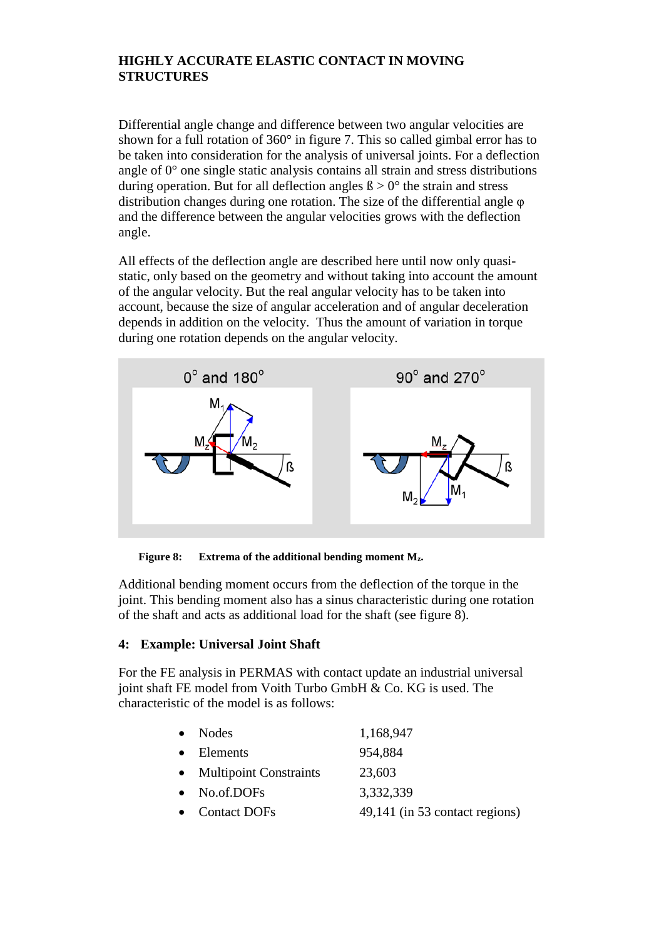Differential angle change and difference between two angular velocities are shown for a full rotation of 360° in figure 7. This so called gimbal error has to be taken into consideration for the analysis of universal joints. For a deflection angle of 0° one single static analysis contains all strain and stress distributions during operation. But for all deflection angles  $\beta > 0^{\circ}$  the strain and stress distribution changes during one rotation. The size of the differential angle φ and the difference between the angular velocities grows with the deflection angle.

All effects of the deflection angle are described here until now only quasistatic, only based on the geometry and without taking into account the amount of the angular velocity. But the real angular velocity has to be taken into account, because the size of angular acceleration and of angular deceleration depends in addition on the velocity. Thus the amount of variation in torque during one rotation depends on the angular velocity.



**Figure 8: Extrema of the additional bending moment Mz.**

Additional bending moment occurs from the deflection of the torque in the joint. This bending moment also has a sinus characteristic during one rotation of the shaft and acts as additional load for the shaft (see figure 8).

# **4: Example: Universal Joint Shaft**

For the FE analysis in PERMAS with contact update an industrial universal joint shaft FE model from Voith Turbo GmbH & Co. KG is used. The characteristic of the model is as follows:

| $\bullet$ | Nodes                    | 1,168,947                      |
|-----------|--------------------------|--------------------------------|
|           | $\bullet$ Elements       | 954,884                        |
|           | • Multipoint Constraints | 23,603                         |
|           | $\bullet$ No.of.DOFs     | 3,332,339                      |
|           | • Contact DOFs           | 49,141 (in 53 contact regions) |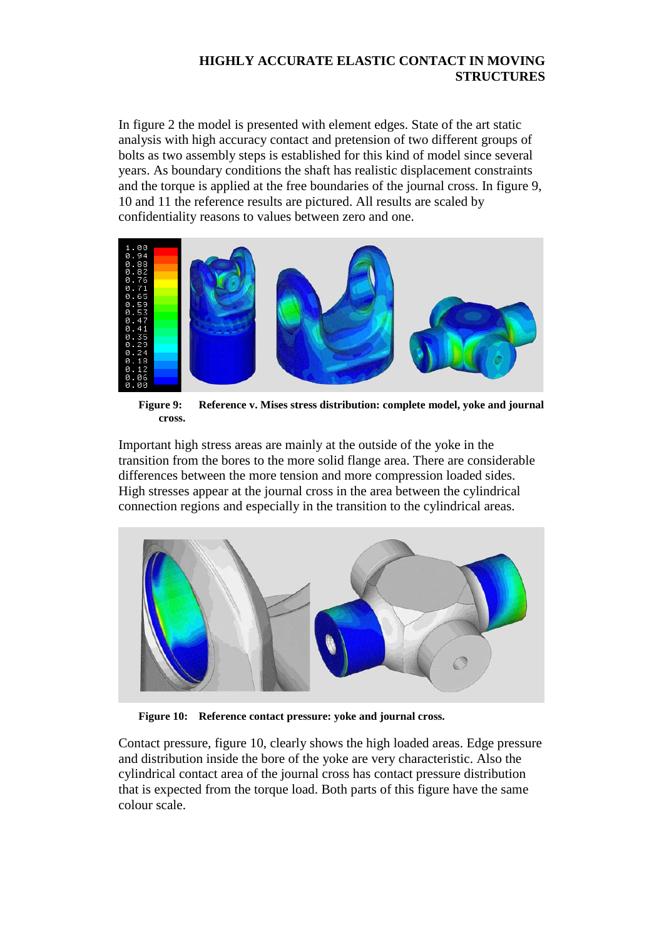In figure 2 the model is presented with element edges. State of the art static analysis with high accuracy contact and pretension of two different groups of bolts as two assembly steps is established for this kind of model since several years. As boundary conditions the shaft has realistic displacement constraints and the torque is applied at the free boundaries of the journal cross. In figure 9, 10 and 11 the reference results are pictured. All results are scaled by confidentiality reasons to values between zero and one.



**Figure 9: Reference v. Mises stress distribution: complete model, yoke and journal cross.**

Important high stress areas are mainly at the outside of the yoke in the transition from the bores to the more solid flange area. There are considerable differences between the more tension and more compression loaded sides. High stresses appear at the journal cross in the area between the cylindrical connection regions and especially in the transition to the cylindrical areas.



**Figure 10: Reference contact pressure: yoke and journal cross.**

Contact pressure, figure 10, clearly shows the high loaded areas. Edge pressure and distribution inside the bore of the yoke are very characteristic. Also the cylindrical contact area of the journal cross has contact pressure distribution that is expected from the torque load. Both parts of this figure have the same colour scale.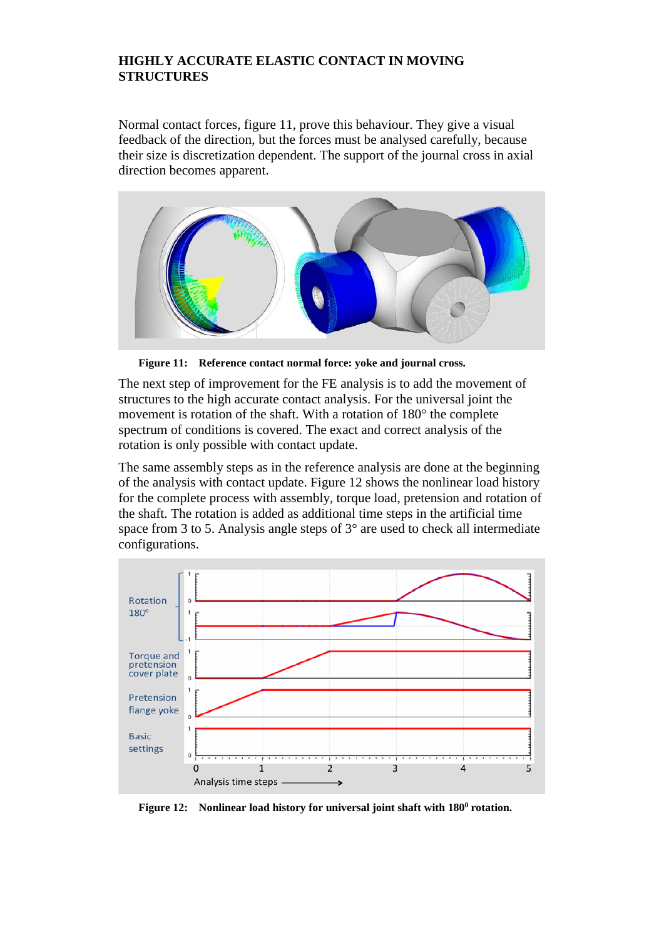Normal contact forces, figure 11, prove this behaviour. They give a visual feedback of the direction, but the forces must be analysed carefully, because their size is discretization dependent. The support of the journal cross in axial direction becomes apparent.



**Figure 11: Reference contact normal force: yoke and journal cross.**

The next step of improvement for the FE analysis is to add the movement of structures to the high accurate contact analysis. For the universal joint the movement is rotation of the shaft. With a rotation of 180° the complete spectrum of conditions is covered. The exact and correct analysis of the rotation is only possible with contact update.

The same assembly steps as in the reference analysis are done at the beginning of the analysis with contact update. Figure 12 shows the nonlinear load history for the complete process with assembly, torque load, pretension and rotation of the shaft. The rotation is added as additional time steps in the artificial time space from 3 to 5. Analysis angle steps of 3° are used to check all intermediate configurations.



**Figure 12:** Nonlinear load history for universal joint shaft with 180<sup>0</sup> rotation.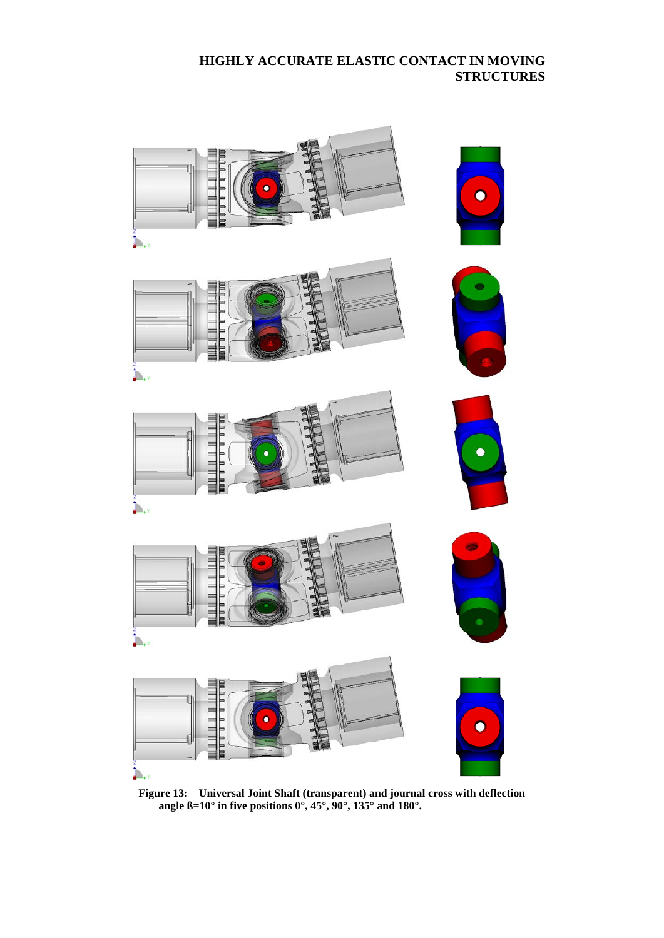

**Figure 13: Universal Joint Shaft (transparent) and journal cross with deflection angle ß=10° in five positions 0°, 45°, 90°, 135° and 180°.**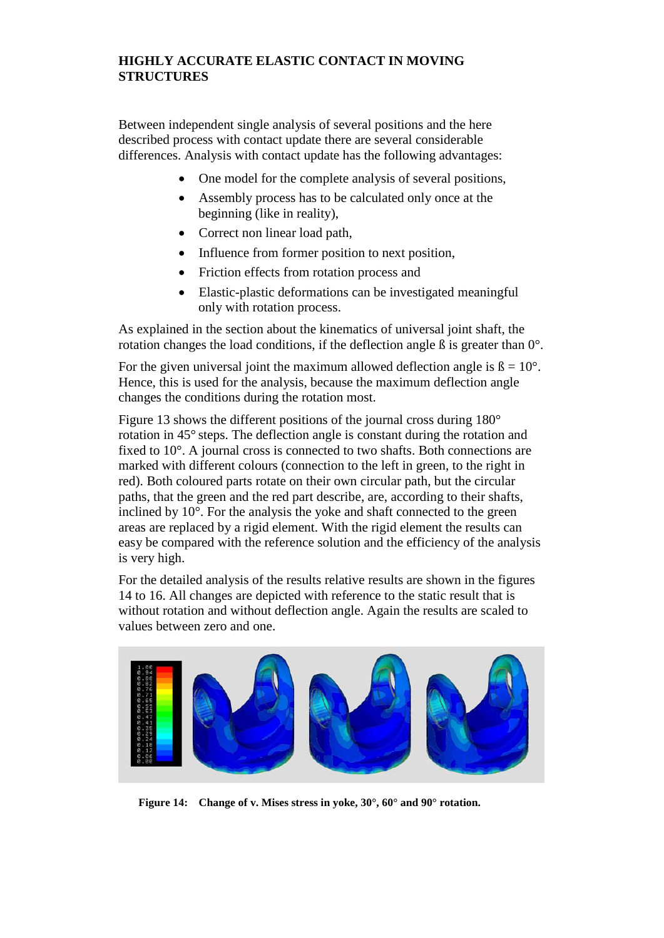Between independent single analysis of several positions and the here described process with contact update there are several considerable differences. Analysis with contact update has the following advantages:

- One model for the complete analysis of several positions,
- Assembly process has to be calculated only once at the beginning (like in reality),
- Correct non linear load path,
- Influence from former position to next position,
- Friction effects from rotation process and
- Elastic-plastic deformations can be investigated meaningful only with rotation process.

As explained in the section about the kinematics of universal joint shaft, the rotation changes the load conditions, if the deflection angle ß is greater than 0°.

For the given universal joint the maximum allowed deflection angle is  $\beta = 10^{\circ}$ . Hence, this is used for the analysis, because the maximum deflection angle changes the conditions during the rotation most.

Figure 13 shows the different positions of the journal cross during 180° rotation in 45° steps. The deflection angle is constant during the rotation and fixed to 10°. A journal cross is connected to two shafts. Both connections are marked with different colours (connection to the left in green, to the right in red). Both coloured parts rotate on their own circular path, but the circular paths, that the green and the red part describe, are, according to their shafts, inclined by 10°. For the analysis the yoke and shaft connected to the green areas are replaced by a rigid element. With the rigid element the results can easy be compared with the reference solution and the efficiency of the analysis is very high.

For the detailed analysis of the results relative results are shown in the figures 14 to 16. All changes are depicted with reference to the static result that is without rotation and without deflection angle. Again the results are scaled to values between zero and one.



**Figure 14: Change of v. Mises stress in yoke, 30°, 60° and 90° rotation.**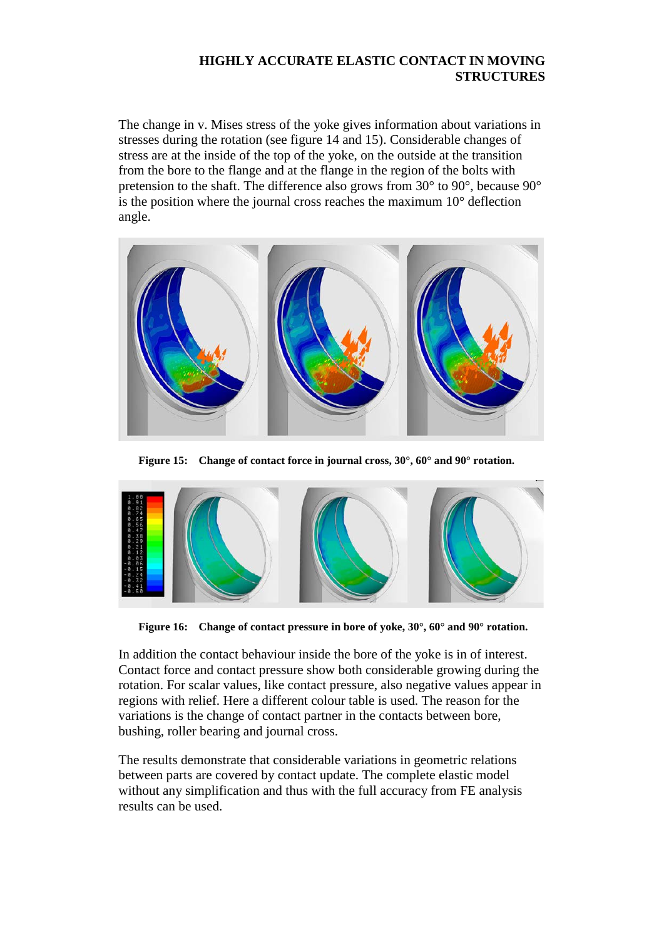The change in v. Mises stress of the yoke gives information about variations in stresses during the rotation (see figure 14 and 15). Considerable changes of stress are at the inside of the top of the yoke, on the outside at the transition from the bore to the flange and at the flange in the region of the bolts with pretension to the shaft. The difference also grows from 30° to 90°, because 90° is the position where the journal cross reaches the maximum 10° deflection angle.



**Figure 15: Change of contact force in journal cross, 30°, 60° and 90° rotation.**



**Figure 16: Change of contact pressure in bore of yoke, 30°, 60° and 90° rotation.**

In addition the contact behaviour inside the bore of the yoke is in of interest. Contact force and contact pressure show both considerable growing during the rotation. For scalar values, like contact pressure, also negative values appear in regions with relief. Here a different colour table is used. The reason for the variations is the change of contact partner in the contacts between bore, bushing, roller bearing and journal cross.

The results demonstrate that considerable variations in geometric relations between parts are covered by contact update. The complete elastic model without any simplification and thus with the full accuracy from FE analysis results can be used.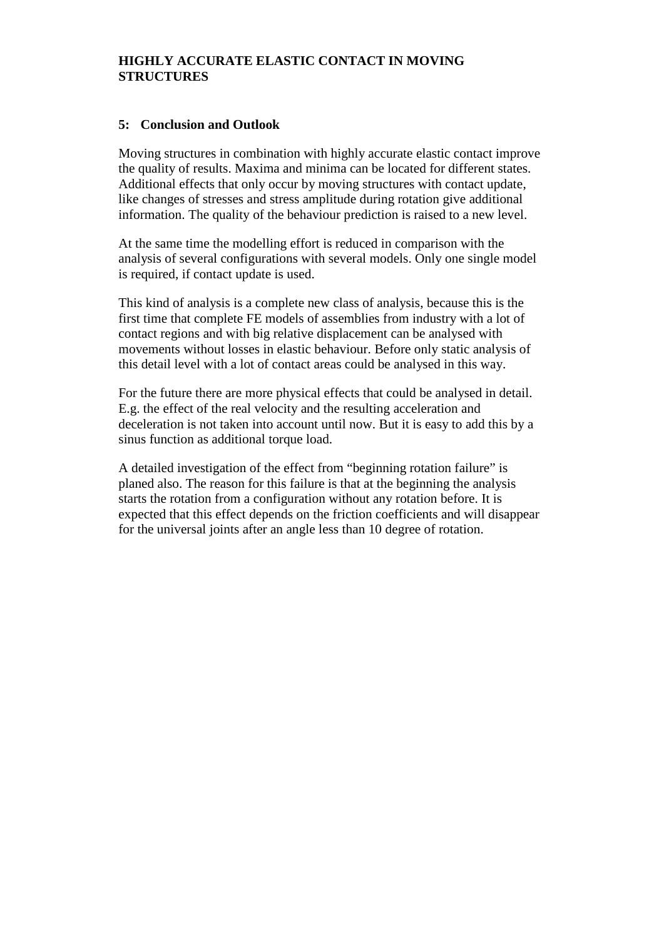#### **5: Conclusion and Outlook**

Moving structures in combination with highly accurate elastic contact improve the quality of results. Maxima and minima can be located for different states. Additional effects that only occur by moving structures with contact update, like changes of stresses and stress amplitude during rotation give additional information. The quality of the behaviour prediction is raised to a new level.

At the same time the modelling effort is reduced in comparison with the analysis of several configurations with several models. Only one single model is required, if contact update is used.

This kind of analysis is a complete new class of analysis, because this is the first time that complete FE models of assemblies from industry with a lot of contact regions and with big relative displacement can be analysed with movements without losses in elastic behaviour. Before only static analysis of this detail level with a lot of contact areas could be analysed in this way.

For the future there are more physical effects that could be analysed in detail. E.g. the effect of the real velocity and the resulting acceleration and deceleration is not taken into account until now. But it is easy to add this by a sinus function as additional torque load.

A detailed investigation of the effect from "beginning rotation failure" is planed also. The reason for this failure is that at the beginning the analysis starts the rotation from a configuration without any rotation before. It is expected that this effect depends on the friction coefficients and will disappear for the universal joints after an angle less than 10 degree of rotation.